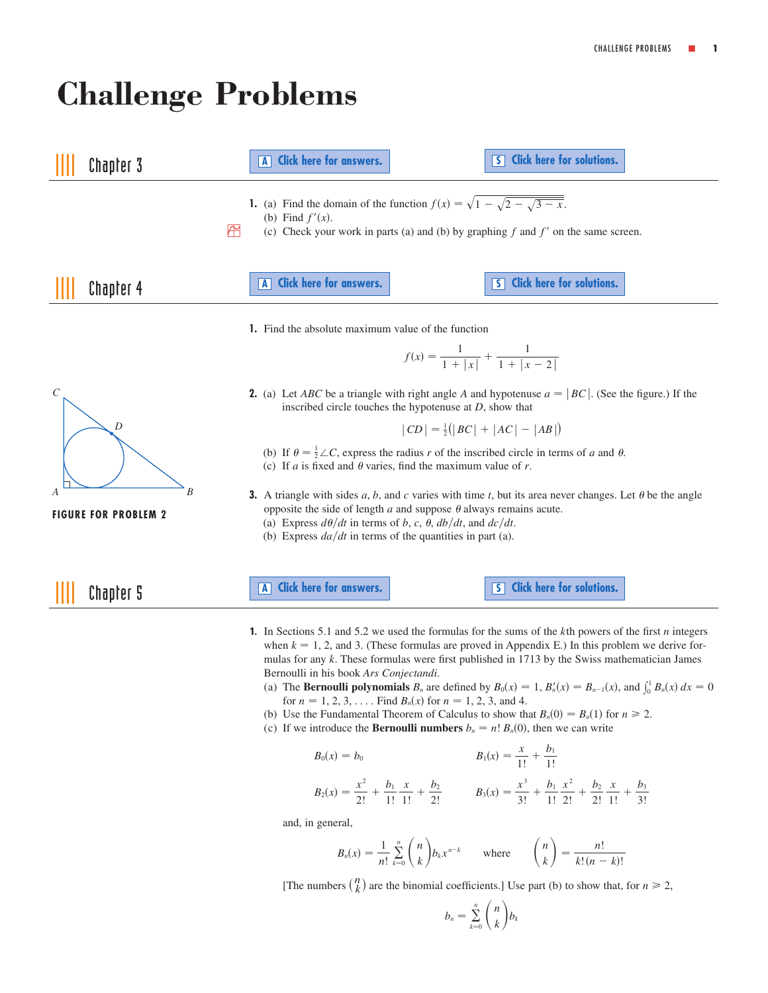# <span id="page-0-0"></span>**Challenge Problems**

| Chapter 3                        | A Click here for answers.                                                                                                                                                                                                                                                                                                                                                                                                                                                                                                                                                                                                                                                                                                                                                  | S Click here for solutions.                                                                                                                                                       |
|----------------------------------|----------------------------------------------------------------------------------------------------------------------------------------------------------------------------------------------------------------------------------------------------------------------------------------------------------------------------------------------------------------------------------------------------------------------------------------------------------------------------------------------------------------------------------------------------------------------------------------------------------------------------------------------------------------------------------------------------------------------------------------------------------------------------|-----------------------------------------------------------------------------------------------------------------------------------------------------------------------------------|
|                                  | 1. (a) Find the domain of the function $f(x) = \sqrt{1 - \sqrt{2 - \sqrt{3 - x}}}$ .<br>(b) Find $f'(x)$ .<br>Æ<br>(c) Check your work in parts (a) and (b) by graphing $f$ and $f'$ on the same screen.                                                                                                                                                                                                                                                                                                                                                                                                                                                                                                                                                                   |                                                                                                                                                                                   |
| Chapter 4                        | A Click here for answers.                                                                                                                                                                                                                                                                                                                                                                                                                                                                                                                                                                                                                                                                                                                                                  | S Click here for solutions.                                                                                                                                                       |
|                                  | <b>1.</b> Find the absolute maximum value of the function                                                                                                                                                                                                                                                                                                                                                                                                                                                                                                                                                                                                                                                                                                                  |                                                                                                                                                                                   |
|                                  | $f(x) = \frac{1}{1 +  x } + \frac{1}{1 +  x - 2 }$                                                                                                                                                                                                                                                                                                                                                                                                                                                                                                                                                                                                                                                                                                                         |                                                                                                                                                                                   |
| C                                | 2. (a) Let <i>ABC</i> be a triangle with right angle <i>A</i> and hypotenuse $a =  BC $ . (See the figure.) If the<br>inscribed circle touches the hypotenuse at $D$ , show that                                                                                                                                                                                                                                                                                                                                                                                                                                                                                                                                                                                           |                                                                                                                                                                                   |
| D                                |                                                                                                                                                                                                                                                                                                                                                                                                                                                                                                                                                                                                                                                                                                                                                                            | $ CD  = \frac{1}{2}( BC  +  AC  -  AB )$                                                                                                                                          |
|                                  | (b) If $\theta = \frac{1}{2} \angle C$ , express the radius r of the inscribed circle in terms of a and $\theta$ .<br>(c) If <i>a</i> is fixed and $\theta$ varies, find the maximum value of <i>r</i> .                                                                                                                                                                                                                                                                                                                                                                                                                                                                                                                                                                   |                                                                                                                                                                                   |
| В<br><b>FIGURE FOR PROBLEM 2</b> | <b>3.</b> A triangle with sides a, b, and c varies with time t, but its area never changes. Let $\theta$ be the angle<br>opposite the side of length $a$ and suppose $\theta$ always remains acute.<br>(a) Express $d\theta/dt$ in terms of b, c, $\theta$ , $db/dt$ , and $dc/dt$ .<br>(b) Express $da/dt$ in terms of the quantities in part (a).                                                                                                                                                                                                                                                                                                                                                                                                                        |                                                                                                                                                                                   |
| Chapter 5                        | A Click here for answers.                                                                                                                                                                                                                                                                                                                                                                                                                                                                                                                                                                                                                                                                                                                                                  | 5 Click here for solutions.                                                                                                                                                       |
|                                  | <b>1.</b> In Sections 5.1 and 5.2 we used the formulas for the sums of the $k$ th powers of the first <i>n</i> integers<br>when $k = 1, 2$ , and 3. (These formulas are proved in Appendix E.) In this problem we derive for-<br>mulas for any k. These formulas were first published in 1713 by the Swiss mathematician James<br>Bernoulli in his book Ars Conjectandi.<br>(a) The <b>Bernoulli polynomials</b> $B_n$ are defined by $B_0(x) = 1$ , $B'_n(x) = B_{n-1}(x)$ , and $\int_0^1 B_n(x) dx = 0$<br>for $n = 1, 2, 3, \ldots$ . Find $B_n(x)$ for $n = 1, 2, 3$ , and 4.<br>(b) Use the Fundamental Theorem of Calculus to show that $B_n(0) = B_n(1)$ for $n \ge 2$ .<br>(c) If we introduce the <b>Bernoulli numbers</b> $b_n = n! B_n(0)$ , then we can write |                                                                                                                                                                                   |
|                                  | $B_0(x) = b_0$                                                                                                                                                                                                                                                                                                                                                                                                                                                                                                                                                                                                                                                                                                                                                             | $B_1(x) = \frac{x}{1!} + \frac{b_1}{1!}$                                                                                                                                          |
|                                  |                                                                                                                                                                                                                                                                                                                                                                                                                                                                                                                                                                                                                                                                                                                                                                            | $B_2(x) = \frac{x^2}{2!} + \frac{b_1}{1!} \frac{x}{1!} + \frac{b_2}{2!}$ $B_3(x) = \frac{x^3}{3!} + \frac{b_1}{1!} \frac{x^2}{2!} + \frac{b_2}{2!} \frac{x}{1!} + \frac{b_3}{3!}$ |
| and, in general,                 |                                                                                                                                                                                                                                                                                                                                                                                                                                                                                                                                                                                                                                                                                                                                                                            |                                                                                                                                                                                   |
|                                  |                                                                                                                                                                                                                                                                                                                                                                                                                                                                                                                                                                                                                                                                                                                                                                            | $B_n(x) = \frac{1}{n!} \sum_{k=0}^n {n \choose k} b_k x^{n-k}$ where ${n \choose k} = \frac{n!}{k!(n-k)!}$                                                                        |

[The numbers  $\binom{n}{k}$  are the binomial coefficients.] Use part (b) to show that, for  $n \ge 2$ ,

$$
b_n = \sum_{k=0}^n \binom{n}{k} b_k
$$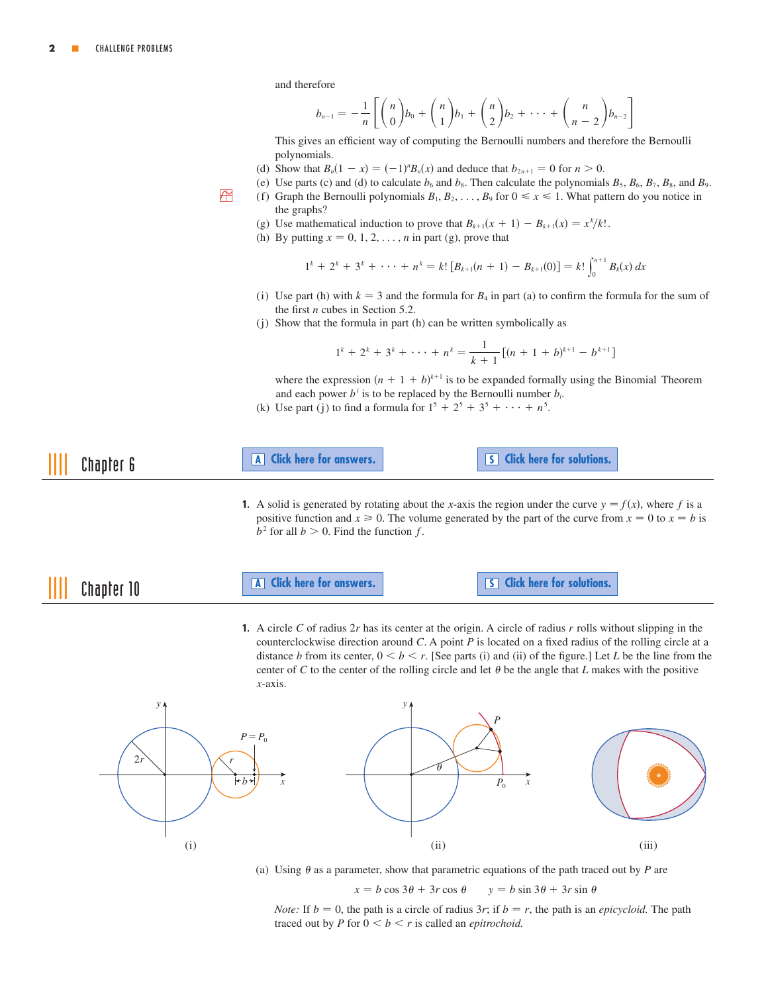and therefore

the graphs?

$$
b_{n-1} = -\frac{1}{n} \left[ \binom{n}{0} b_0 + \binom{n}{1} b_1 + \binom{n}{2} b_2 + \cdots + \binom{n}{n-2} b_{n-2} \right]
$$

This gives an efficient way of computing the Bernoulli numbers and therefore the Bernoulli polynomials.

- (d) Show that  $B_n(1 x) = (-1)^n B_n(x)$  and deduce that  $b_{2n+1} = 0$  for  $n > 0$ .
- <span id="page-1-0"></span>(e) Use parts (c) and (d) to calculate  $b_6$  and  $b_8$ . Then calculate the polynomials  $B_5$ ,  $B_6$ ,  $B_7$ ,  $B_8$ , and  $B_9$ . **B** (f) Graph the Bernoulli polynomials  $B_1, B_2, \ldots, B_9$  for  $0 \le x \le 1$ . What pattern do you notice in

;

- (g) Use mathematical induction to prove that  $B_{k+1}(x + 1) B_{k+1}(x) = x^k/k!$ .
- (h) By putting  $x = 0, 1, 2, \ldots, n$  in part (g), prove that

$$
1^{k} + 2^{k} + 3^{k} + \cdots + n^{k} = k! [B_{k+1}(n+1) - B_{k+1}(0)] = k! \int_{0}^{n+1} B_{k}(x) dx
$$

- (i) Use part (h) with  $k = 3$  and the formula for  $B_4$  in part (a) to confirm the formula for the sum of the first  $n$  cubes in Section 5.2.
- (j) Show that the formula in part (h) can be written symbolically as

$$
1^{k} + 2^{k} + 3^{k} + \cdots + n^{k} = \frac{1}{k+1} [(n+1+b)^{k+1} - b^{k+1}]
$$

where the expression  $(n + 1 + b)^{k+1}$  is to be expanded formally using the Binomial Theorem and each power  $b^i$  is to be replaced by the Bernoulli number  $b_i$ .

(k) Use part (j) to find a formula for  $1^5 + 2^5 + 3^5 + \cdots + n^5$ .



**1.** A solid is generated by rotating about the x-axis the region under the curve  $y = f(x)$ , where f is a positive function and  $x \ge 0$ . The volume generated by the part of the curve from  $x = 0$  to  $x = b$  is  $b^2$  for all  $b > 0$ . Find the function f.

 $\mathop{\text{III}}\nolimits$ 

**Chapter 10 A [Click here for answers.](#page-3-0)** S **[Click here for solutions.](#page-9-0)** 

**1.** A circle C of radius  $2r$  has its center at the origin. A circle of radius r rolls without slipping in the counterclockwise direction around  $C$ . A point  $P$  is located on a fixed radius of the rolling circle at a distance *b* from its center,  $0 \le b \le r$ . [See parts (i) and (ii) of the figure.] Let *L* be the line from the center of C to the center of the rolling circle and let  $\theta$  be the angle that L makes with the positive -axis. *x*





(a) Using  $\theta$  as a parameter, show that parametric equations of the path traced out by  $P$  are

 $x = b \cos 3\theta + 3r \cos \theta$   $y = b \sin 3\theta + 3r \sin \theta$ 

*Note:* If  $b = 0$ , the path is a circle of radius 3r; if  $b = r$ , the path is an *epicycloid*. The path traced out by  $P$  for  $0 < b < r$  is called an *epitrochoid*.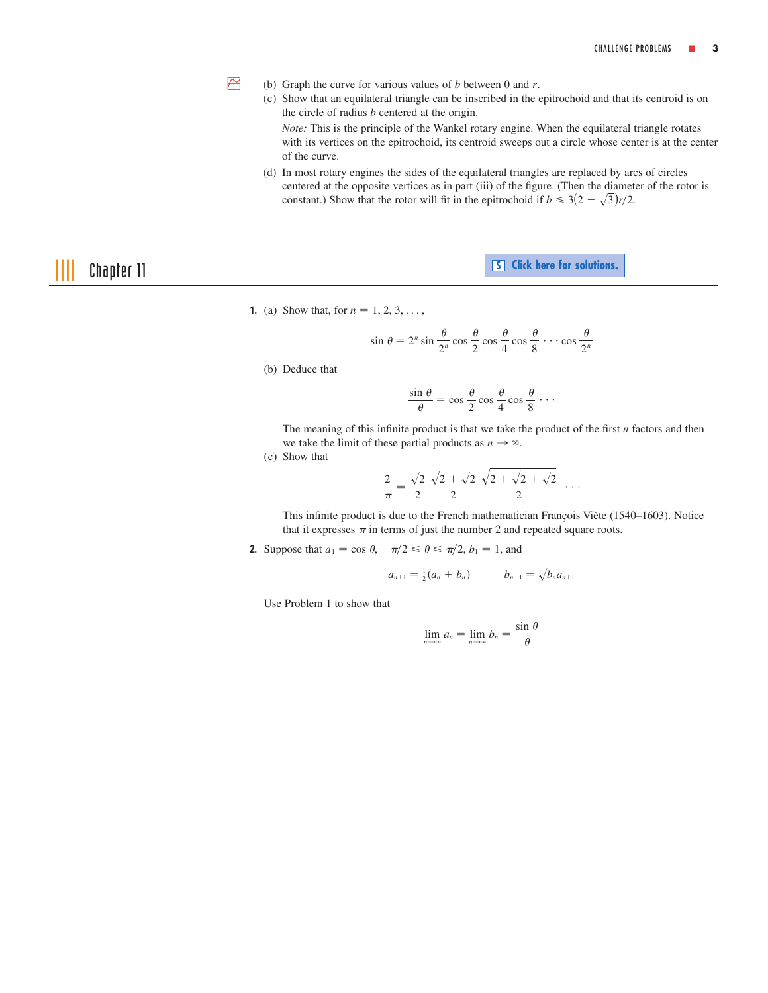- (b) Graph the curve for various values of b between 0 and r.
	- (c) Show that an equilateral triangle can be inscribed in the epitrochoid and that its centroid is on the circle of radius  $b$  centered at the origin.

*Note:* This is the principle of the Wankel rotary engine. When the equilateral triangle rotates with its vertices on the epitrochoid, its centroid sweeps out a circle whose center is at the center of the curve.

(d) In most rotary engines the sides of the equilateral triangles are replaced by arcs of circles centered at the opposite vertices as in part (iii) of the figure. (Then the diameter of the rotor is constant.) Show that the rotor will fit in the epitrochoid if  $b \leq 3(2-\sqrt{3})r/2$ .

**Chapter 11 Chapter 11 Chapter 11 Chapter 11 Chapter 11 Constant 11 Constant 11 Constant 11 Constant 11 Constant 11 Constant 11 Constant 11** 

**1.** (a) Show that, for  $n = 1, 2, 3, \ldots$ ,

$$
\sin \theta = 2^n \sin \frac{\theta}{2^n} \cos \frac{\theta}{2} \cos \frac{\theta}{4} \cos \frac{\theta}{8} \cdots \cos \frac{\theta}{2^n}
$$

(b) Deduce that

<span id="page-2-0"></span>**PM** 

$$
\frac{\sin \theta}{\theta} = \cos \frac{\theta}{2} \cos \frac{\theta}{4} \cos \frac{\theta}{8} \cdots
$$

The meaning of this infinite product is that we take the product of the first  $n$  factors and then we take the limit of these partial products as  $n \to \infty$ .

(c) Show that

$$
\frac{2}{\pi} = \frac{\sqrt{2}}{2} \frac{\sqrt{2 + \sqrt{2}}}{2} \frac{\sqrt{2 + \sqrt{2 + \sqrt{2}}}}{2} \cdots
$$

This infinite product is due to the French mathematician François Viète (1540-1603). Notice that it expresses  $\pi$  in terms of just the number 2 and repeated square roots.

**2.** Suppose that  $a_1 = \cos \theta$ ,  $-\pi/2 \le \theta \le \pi/2$ ,  $b_1 = 1$ , and

$$
a_{n+1} = \frac{1}{2}(a_n + b_n) \qquad b_{n+1} = \sqrt{b_n a_{n+1}}
$$

Use Problem 1 to show that

$$
\lim_{n\to\infty}a_n=\lim_{n\to\infty}b_n=\frac{\sin\,\theta}{\theta}
$$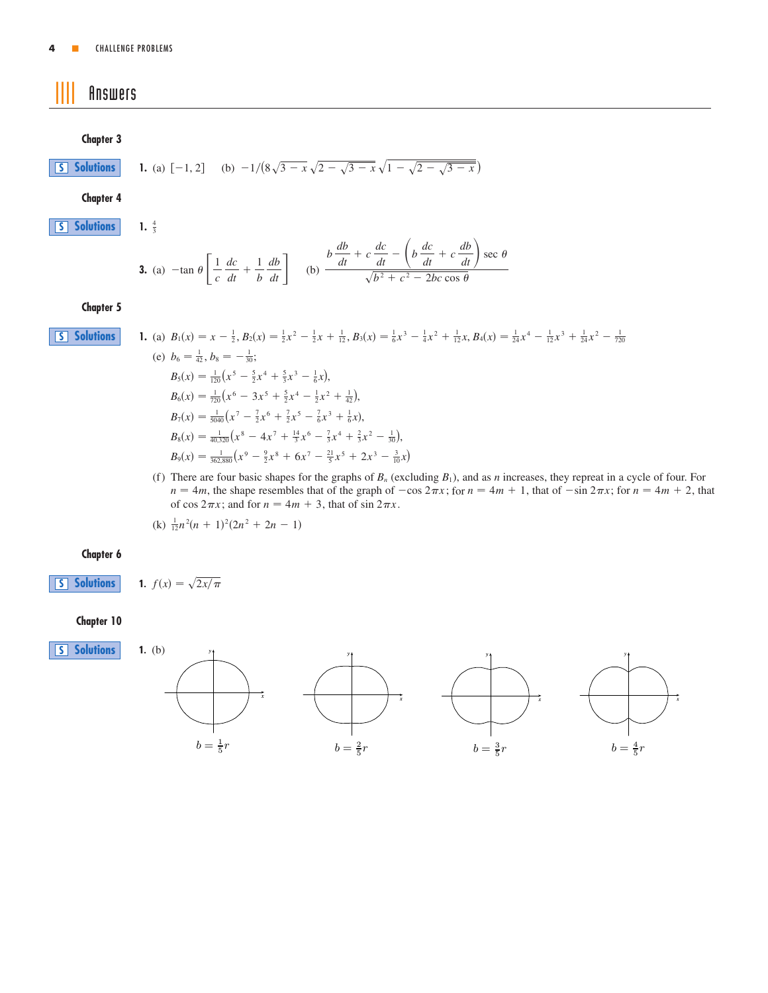# <span id="page-3-0"></span>|||| Answers

### **Chapter 3**

**S [Solutions](#page-4-0)**

**1.** (a) 
$$
[-1, 2]
$$
 (b)  $-1/(8\sqrt{3-x}\sqrt{2-\sqrt{3-x}}\sqrt{1-\sqrt{2-\sqrt{3-x}}})$ 

**Chapter 4**

**S [Solutions](#page-4-0)**

1.  $\frac{4}{3}$ 

3. (a) 
$$
-\tan \theta \left[ \frac{1}{c} \frac{dc}{dt} + \frac{1}{b} \frac{db}{dt} \right]
$$
 (b)  $\frac{b \frac{db}{dt} + c \frac{dc}{dt} - \left( b \frac{dc}{dt} + c \frac{db}{dt} \right) \sec \theta}{\sqrt{b^2 + c^2 - 2bc \cos \theta}}$ 

### **Chapter 5**

**S [Solutions](#page-5-0)**

1. (a) 
$$
B_1(x) = x - \frac{1}{2}
$$
,  $B_2(x) = \frac{1}{2}x^2 - \frac{1}{2}x + \frac{1}{12}$ ,  $B_3(x) = \frac{1}{6}x^3 - \frac{1}{4}x^2 + \frac{1}{12}x$ ,  $B_4(x) = \frac{1}{24}x^4 - \frac{1}{12}x^3 + \frac{1}{24}x^2 - \frac{1}{720}$   
\n(e)  $b_6 = \frac{1}{42}$ ,  $b_8 = -\frac{1}{30}$ ;  
\n $B_5(x) = \frac{1}{120}(x^5 - \frac{5}{2}x^4 + \frac{5}{3}x^3 - \frac{1}{6}x)$ ,  
\n $B_6(x) = \frac{1}{720}(x^6 - 3x^5 + \frac{5}{2}x^4 - \frac{1}{2}x^2 + \frac{1}{42})$ ,  
\n $B_7(x) = \frac{1}{5040}(x^7 - \frac{7}{2}x^6 + \frac{7}{2}x^5 - \frac{7}{6}x^3 + \frac{1}{6}x)$ ,  
\n $B_8(x) = \frac{1}{40,320}(x^8 - 4x^7 + \frac{14}{3}x^6 - \frac{7}{3}x^4 + \frac{2}{3}x^2 - \frac{1}{30})$ ,  
\n $B_9(x) = \frac{1}{362,880}(x^9 - \frac{9}{2}x^8 + 6x^7 - \frac{21}{5}x^5 + 2x^3 - \frac{3}{10}x)$ 

(f) There are four basic shapes for the graphs of  $B_n$  (excluding  $B_1$ ), and as *n* increases, they repreat in a cycle of four. For  $n = 4m$ , the shape resembles that of the graph of  $-\cos 2\pi x$ ; for  $n = 4m + 1$ , that of  $-\sin 2\pi x$ ; for  $n = 4m + 2$ , that of cos  $2\pi x$ ; and for  $n = 4m + 3$ , that of  $\sin 2\pi x$ .

 $(k)$   $\frac{1}{12}n^2(n + 1)^2(2n^2 + 2n - 1)$ 

**1.**  $f(x) = \sqrt{2x/\pi}$ 

### **Chapter 6**

**S [Solutions](#page-9-0)**

# **Chapter 10**



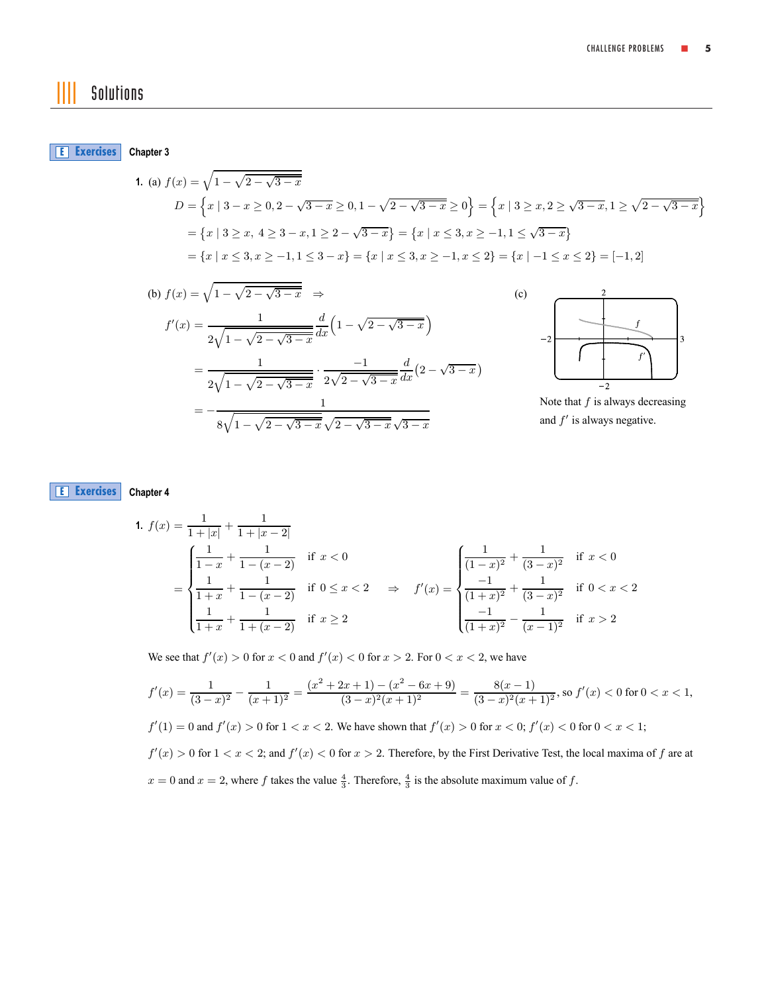# <span id="page-4-0"></span>|||| Solutions

**Chapter 3 E [Exercises](#page-0-0)**

1. (a) 
$$
f(x) = \sqrt{1 - \sqrt{2 - \sqrt{3 - x}}}
$$
  
\n
$$
D = \left\{ x \mid 3 - x \ge 0, 2 - \sqrt{3 - x} \ge 0, 1 - \sqrt{2 - \sqrt{3 - x}} \ge 0 \right\} = \left\{ x \mid 3 \ge x, 2 \ge \sqrt{3 - x}, 1 \ge \sqrt{2 - \sqrt{3 - x}} \right\}
$$
\n
$$
= \left\{ x \mid 3 \ge x, 4 \ge 3 - x, 1 \ge 2 - \sqrt{3 - x} \right\} = \left\{ x \mid x \le 3, x \ge -1, 1 \le \sqrt{3 - x} \right\}
$$
\n
$$
= \left\{ x \mid x \le 3, x \ge -1, 1 \le 3 - x \right\} = \left\{ x \mid x \le 3, x \ge -1, x \le 2 \right\} = \left\{ x \mid -1 \le x \le 2 \right\} = [-1, 2]
$$

(b) 
$$
f(x) = \sqrt{1 - \sqrt{2 - \sqrt{3 - x}}}
$$
  $\Rightarrow$   
\n
$$
f'(x) = \frac{1}{2\sqrt{1 - \sqrt{2 - \sqrt{3 - x}}}} \frac{d}{dx} \left(1 - \sqrt{2 - \sqrt{3 - x}}\right)
$$
\n
$$
= \frac{1}{2\sqrt{1 - \sqrt{2 - \sqrt{3 - x}}}} \cdot \frac{-1}{2\sqrt{2 - \sqrt{3 - x}}} \frac{d}{dx} \left(2 - \sqrt{3 - x}\right)
$$
\n
$$
= -\frac{1}{8\sqrt{1 - \sqrt{2 - \sqrt{3 - x}}}} \frac{1}{\sqrt{2 - \sqrt{3 - x}}}
$$



Note that  $f$  is always decreasing and  $f'$  is always negative.

### **Chapter 4 E [Exercises](#page-0-0)**

1. 
$$
f(x) = \frac{1}{1+|x|} + \frac{1}{1+|x-2|}
$$
  
\n
$$
= \begin{cases}\n\frac{1}{1-x} + \frac{1}{1-(x-2)} & \text{if } x < 0 \\
\frac{1}{1+x} + \frac{1}{1-(x-2)} & \text{if } 0 \le x < 2 \end{cases} \Rightarrow f'(x) = \begin{cases}\n\frac{1}{(1-x)^2} + \frac{1}{(3-x)^2} & \text{if } x < 0 \\
\frac{-1}{(1+x)^2} + \frac{1}{(3-x)^2} & \text{if } 0 < x < 2 \end{cases}
$$

We see that  $f'(x) > 0$  for  $x < 0$  and  $f'(x) < 0$  for  $x > 2$ . For  $0 < x < 2$ , we have

$$
f'(x) = \frac{1}{(3-x)^2} - \frac{1}{(x+1)^2} = \frac{(x^2+2x+1)-(x^2-6x+9)}{(3-x)^2(x+1)^2} = \frac{8(x-1)}{(3-x)^2(x+1)^2}, \text{ so } f'(x) < 0 \text{ for } 0 < x < 1,
$$

$$
f'(1) = 0
$$
 and  $f'(x) > 0$  for  $1 < x < 2$ . We have shown that  $f'(x) > 0$  for  $x < 0$ ;  $f'(x) < 0$  for  $0 < x < 1$ ;

 $f'(x) > 0$  for  $1 < x < 2$ ; and  $f'(x) < 0$  for  $x > 2$ . Therefore, by the First Derivative Test, the local maxima of f are at  $x = 0$  and  $x = 2$ , where f takes the value  $\frac{4}{3}$ . Therefore,  $\frac{4}{3}$  is the absolute maximum value of f.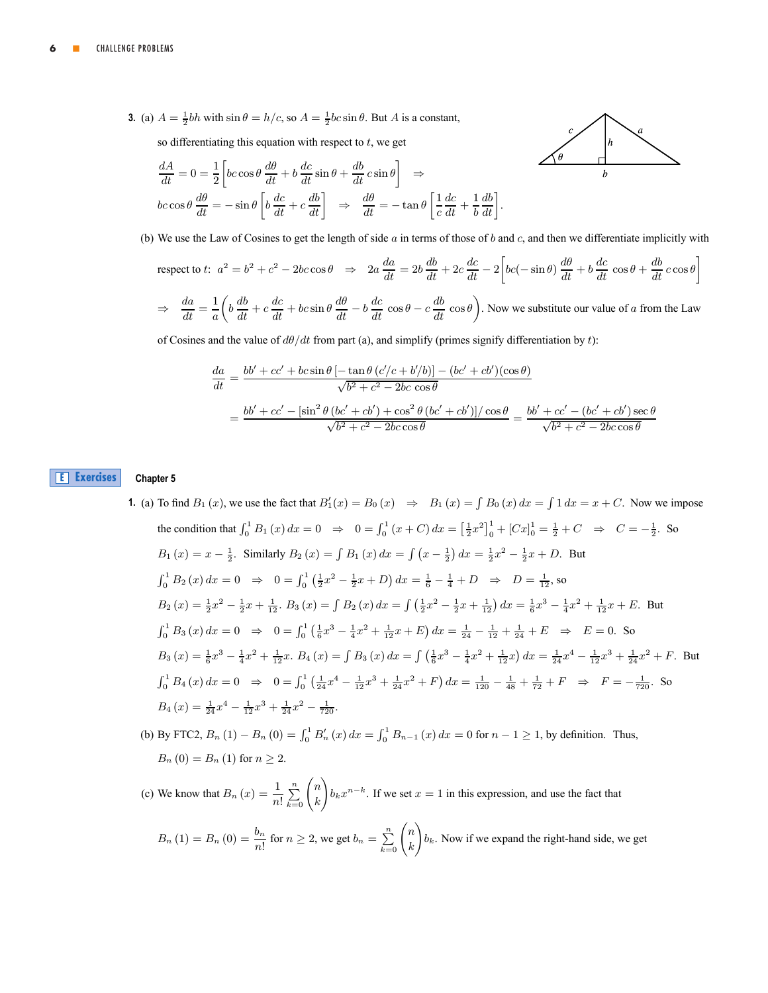<span id="page-5-0"></span>**3.** (a)  $A = \frac{1}{2}bh$  with  $\sin \theta = h/c$ , so  $A = \frac{1}{2}bc \sin \theta$ . But A is a constant,

so differentiating this equation with respect to  $t$ , we get

$$
\frac{dA}{dt} = 0 = \frac{1}{2} \left[ bc \cos \theta \frac{d\theta}{dt} + b \frac{dc}{dt} \sin \theta + \frac{db}{dt} c \sin \theta \right] \Rightarrow \nbc \cos \theta \frac{d\theta}{dt} = -\sin \theta \left[ b \frac{dc}{dt} + c \frac{db}{dt} \right] \Rightarrow \frac{d\theta}{dt} = -\tan \theta \left[ \frac{1}{c} \frac{dc}{dt} + \frac{1}{b} \frac{db}{dt} \right]
$$



(b) We use the Law of Cosines to get the length of side  $\alpha$  in terms of those of  $\delta$  and  $\alpha$ , and then we differentiate implicitly with

.

respect to t: 
$$
a^2 = b^2 + c^2 - 2bc \cos \theta \Rightarrow 2a \frac{da}{dt} = 2b \frac{db}{dt} + 2c \frac{dc}{dt} - 2 \left[ bc(-\sin \theta) \frac{d\theta}{dt} + b \frac{dc}{dt} \cos \theta + \frac{db}{dt} c \cos \theta \right]
$$

$$
\Rightarrow \frac{da}{dt} = \frac{1}{a} \left( b \frac{db}{dt} + c \frac{dc}{dt} + bc \sin \theta \frac{d\theta}{dt} - b \frac{dc}{dt} \cos \theta - c \frac{db}{dt} \cos \theta \right).
$$
 Now we substitute our value of a from the Law

of Cosines and the value of  $d\theta/dt$  from part (a), and simplify (primes signify differentiation by t):

$$
\frac{da}{dt} = \frac{bb' + cc' + bc\sin\theta \left[ -\tan\theta \left( c'/c + b'/b \right) \right] - (bc' + cb')(\cos\theta)}{\sqrt{b^2 + c^2 - 2bc\cos\theta}}
$$
\n
$$
= \frac{bb' + cc' - \left[ \sin^2\theta \left( bc' + cb' \right) + \cos^2\theta \left( bc' + cb' \right) \right] / \cos\theta}{\sqrt{b^2 + c^2 - 2bc\cos\theta}} = \frac{bb' + cc' - (bc' + cb')\sec\theta}{\sqrt{b^2 + c^2 - 2bc\cos\theta}}
$$

#### **Chapter 5 E [Exercises](#page-0-0)**

# **1.** (a) To find  $B_1(x)$ , we use the fact that  $B_1'(x) = B_0(x) \Rightarrow B_1(x) = \int B_0(x) dx = \int 1 dx = x + C$ . Now we impose the condition that  $\int_0^1 B_1(x) dx = 0 \Rightarrow 0 = \int_0^1 (x + C) dx = \left[\frac{1}{2}x^2\right]_0^1 + \left[Cx\right]_0^1 = \frac{1}{2} + C \Rightarrow C = -\frac{1}{2}$ . So  $B_1(x) = x - \frac{1}{2}$ . Similarly  $B_2(x) = \int B_1(x) dx = \int (x - \frac{1}{2}) dx = \frac{1}{2}x^2 - \frac{1}{2}x + D$ . But  $\int_0^1 B_2(x) dx = 0 \Rightarrow 0 = \int_0^1 (\frac{1}{2}x^2 - \frac{1}{2}x + D) dx = \frac{1}{6} - \frac{1}{4} + D \Rightarrow D = \frac{1}{12}$ , so  $B_2(x) = \frac{1}{2}x^2 - \frac{1}{2}x + \frac{1}{12}$ ,  $B_3(x) = \int B_2(x) dx = \int (\frac{1}{2}x^2 - \frac{1}{2}x + \frac{1}{12}) dx = \frac{1}{6}x^3 - \frac{1}{4}x^2 + \frac{1}{12}x + E$ . But  $\int_0^1 B_3(x) dx = 0 \Rightarrow 0 = \int_0^1 (\frac{1}{6}x^3 - \frac{1}{4}x^2 + \frac{1}{12}x + E) dx = \frac{1}{24} - \frac{1}{12} + \frac{1}{24} + E \Rightarrow E = 0$ . So  $B_3(x) = \frac{1}{6}x^3 - \frac{1}{4}x^2 + \frac{1}{12}x$ .  $B_4(x) = \int B_3(x) dx = \int (\frac{1}{6}x^3 - \frac{1}{4}x^2 + \frac{1}{12}x) dx = \frac{1}{24}x^4 - \frac{1}{12}x^3 + \frac{1}{24}x^2 + F$ . But  $\int_0^1 B_4(x) dx = 0 \Rightarrow 0 = \int_0^1 (\frac{1}{24}x^4 - \frac{1}{12}x^3 + \frac{1}{24}x^2 + F) dx = \frac{1}{120} - \frac{1}{48} + \frac{1}{72} + F \Rightarrow F = -\frac{1}{720}$ . So  $B_4(x) = \frac{1}{24}x^4 - \frac{1}{12}x^3 + \frac{1}{24}x^2 - \frac{1}{720}.$

(b) By FTC2,  $B_n(1) - B_n(0) = \int_0^1 B'_n(x) dx = \int_0^1 B_{n-1}(x) dx = 0$  for  $n-1 \ge 1$ , by definition. Thus,  $B_n (0) = B_n (1)$  for  $n \ge 2$ .

(c) We know that  $B_n(x) = \frac{1}{n!} \sum_{k=0}^{n} \binom{n}{k}$ k  $\lambda$  $b_kx^{n-k}$ . If we set  $x = 1$  in this expression, and use the fact that

$$
B_n(1) = B_n(0) = \frac{b_n}{n!}
$$
 for  $n \ge 2$ , we get  $b_n = \sum_{k=0}^n \binom{n}{k} b_k$ . Now if we expand the right-hand side, we get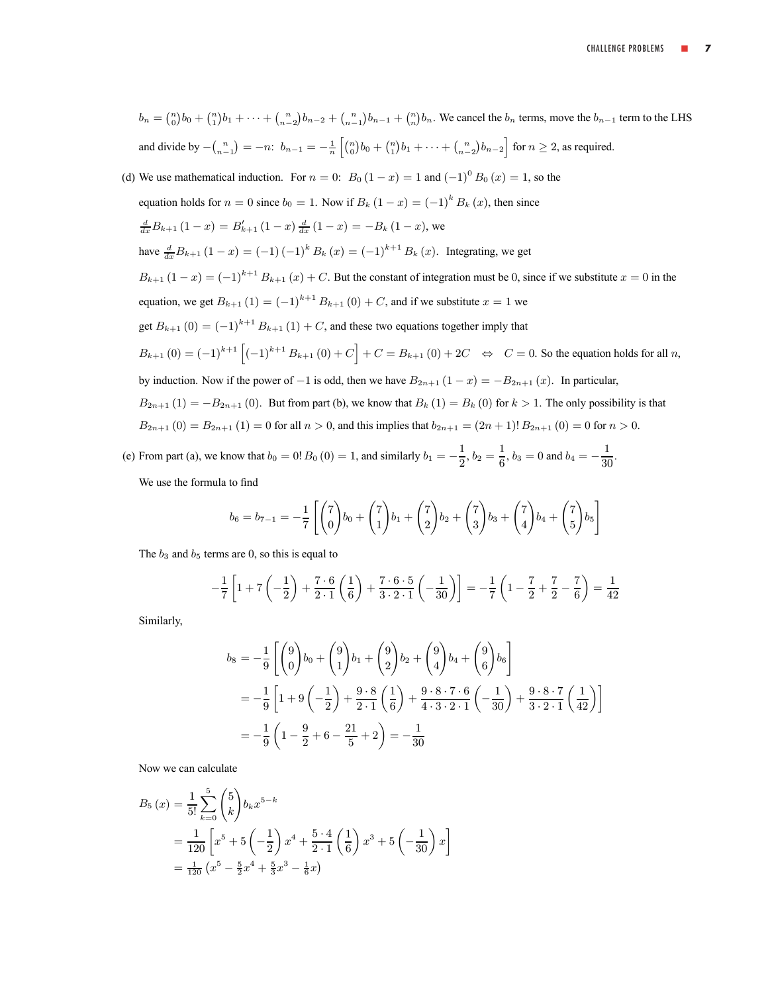$$
b_n = \binom{n}{0}b_0 + \binom{n}{1}b_1 + \cdots + \binom{n}{n-2}b_{n-2} + \binom{n}{n-1}b_{n-1} + \binom{n}{n}b_n
$$
. We cancel the  $b_n$  terms, move the  $b_{n-1}$  term to the LHS  
and divide by  $-\binom{n}{n-1} = -n$ :  $b_{n-1} = -\frac{1}{n}\left[\binom{n}{0}b_0 + \binom{n}{1}b_1 + \cdots + \binom{n}{n-2}b_{n-2}\right]$  for  $n \ge 2$ , as required.  
(d) We use mathematical induction. For  $n = 0$ :  $B_0(1-x) = 1$  and  $(-1)^0 B_0(x) = 1$ , so the  
equation holds for  $n = 0$  since  $b_0 = 1$ . Now if  $B_k (1-x) = (-1)^k B_k (x)$ , then since  

$$
\frac{d}{dx}B_{k+1} (1-x) = B'_{k+1} (1-x) \frac{d}{dx} (1-x) = -B_k (1-x)
$$
, we  
have  $\frac{d}{dx}B_{k+1} (1-x) = (-1)^{k+1} B_{k+1} (x) + C$ . But the constant of integration must be 0, since if we substitute  $x = 0$  in the  
equation, we get  $B_{k+1} (1) = (-1)^{k+1} B_{k+1} (0) + C$ , and if we substitute  $x = 1$  we  
get  $B_{k+1} (0) = (-1)^{k+1} B_{k+1} (1) + C$ , and these two equations together imply that  
 $B_{k+1} (0) = (-1)^{k+1} \left[ (-1)^{k+1} B_{k+1} (0) + C \right] + C = B_{k+1} (0) + 2C \Leftrightarrow C = 0$ . So the equation holds for all *n*,  
by induction. Now if the power of -1 is odd, then we have  $B_{2n+1} (1-x) = -B_{2n+1} (x)$ . In particular,  
 $B_{2n+1} (1) = -B_{2n+1} (0)$ . But from part (b), we know that  $B_k (1) = B_k (0)$  for  $k > 1$ . The only possibility is that  
 $B_{2n+1} (0) = B_{2n+1} (1)$ 

We use the formula to find

$$
b_6 = b_{7-1} = -\frac{1}{7} \left[ \binom{7}{0} b_0 + \binom{7}{1} b_1 + \binom{7}{2} b_2 + \binom{7}{3} b_3 + \binom{7}{4} b_4 + \binom{7}{5} b_5 \right]
$$

The  $b_3$  and  $b_5$  terms are 0, so this is equal to

$$
-\frac{1}{7}\left[1+7\left(-\frac{1}{2}\right)+\frac{7\cdot 6}{2\cdot 1}\left(\frac{1}{6}\right)+\frac{7\cdot 6\cdot 5}{3\cdot 2\cdot 1}\left(-\frac{1}{30}\right)\right] = -\frac{1}{7}\left(1-\frac{7}{2}+\frac{7}{2}-\frac{7}{6}\right) = \frac{1}{42}
$$

Similarly,

$$
b_8 = -\frac{1}{9} \left[ \binom{9}{0} b_0 + \binom{9}{1} b_1 + \binom{9}{2} b_2 + \binom{9}{4} b_4 + \binom{9}{6} b_6 \right]
$$
  
=  $-\frac{1}{9} \left[ 1 + 9 \left( -\frac{1}{2} \right) + \frac{9 \cdot 8}{2 \cdot 1} \left( \frac{1}{6} \right) + \frac{9 \cdot 8 \cdot 7 \cdot 6}{4 \cdot 3 \cdot 2 \cdot 1} \left( -\frac{1}{30} \right) + \frac{9 \cdot 8 \cdot 7}{3 \cdot 2 \cdot 1} \left( \frac{1}{42} \right) \right]$   
=  $-\frac{1}{9} \left( 1 - \frac{9}{2} + 6 - \frac{21}{5} + 2 \right) = -\frac{1}{30}$ 

Now we can calculate

$$
B_5(x) = \frac{1}{5!} \sum_{k=0}^{5} {5 \choose k} b_k x^{5-k}
$$
  
=  $\frac{1}{120} \left[ x^5 + 5 \left( -\frac{1}{2} \right) x^4 + \frac{5 \cdot 4}{2 \cdot 1} \left( \frac{1}{6} \right) x^3 + 5 \left( -\frac{1}{30} \right) x \right]$   
=  $\frac{1}{120} (x^5 - \frac{5}{2} x^4 + \frac{5}{3} x^3 - \frac{1}{6} x)$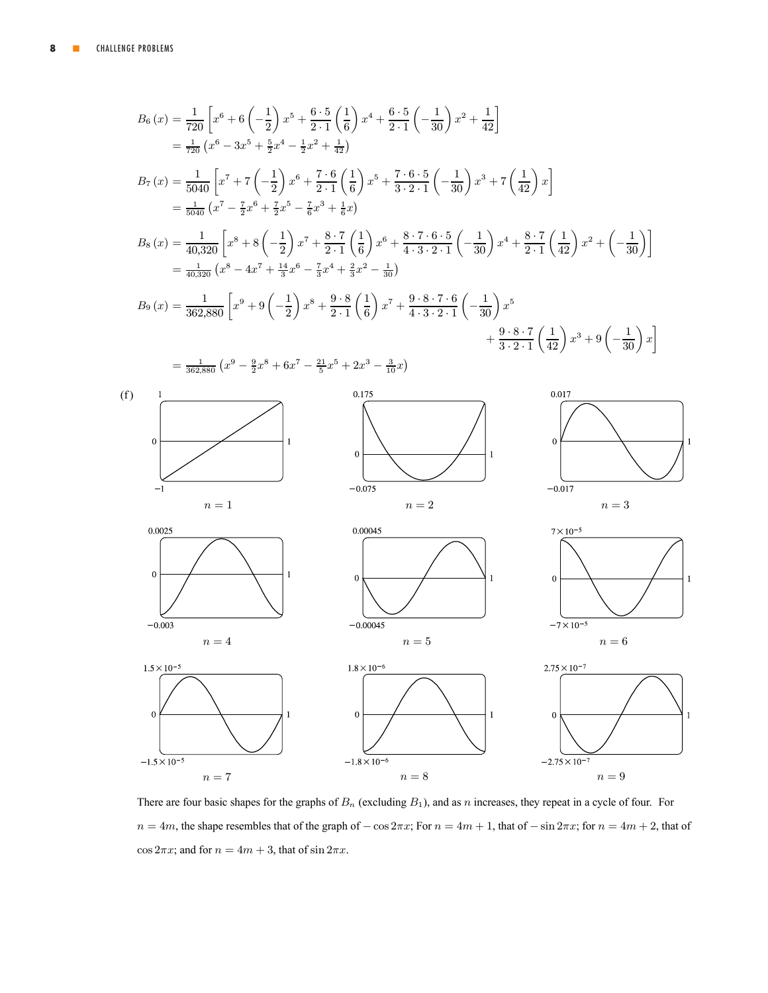

There are four basic shapes for the graphs of  $B_n$  (excluding  $B_1$ ), and as n increases, they repeat in a cycle of four. For  $n = 4m$ , the shape resembles that of the graph of  $-\cos 2\pi x$ ; For  $n = 4m + 1$ , that of  $-\sin 2\pi x$ ; for  $n = 4m + 2$ , that of  $\cos 2\pi x$ ; and for  $n = 4m + 3$ , that of  $\sin 2\pi x$ .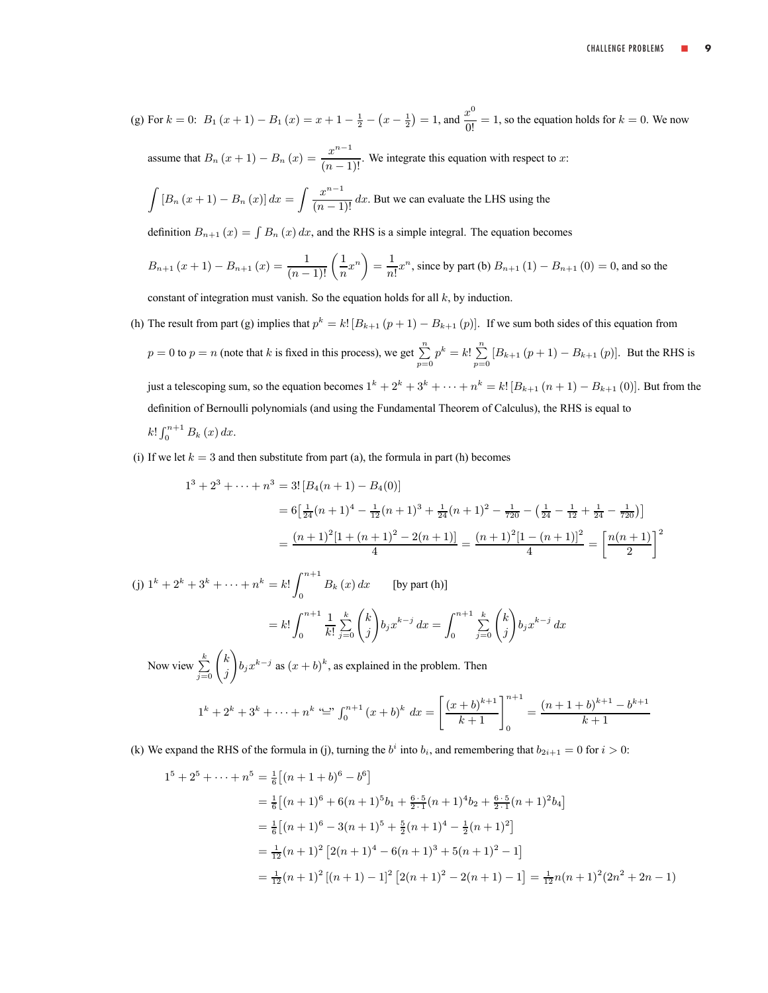(g) For 
$$
k = 0
$$
:  $B_1(x+1) - B_1(x) = x + 1 - \frac{1}{2} - (x - \frac{1}{2}) = 1$ , and  $\frac{x^0}{0!} = 1$ , so the equation holds for  $k = 0$ . We now

assume that  $B_n(x+1) - B_n(x) = \frac{x^{n-1}}{(n-1)!}$ . We integrate this equation with respect to x:

$$
\int [B_n(x+1) - B_n(x)] dx = \int \frac{x^{n-1}}{(n-1)!} dx.
$$
 But we can evaluate the LHS using the

definition  $B_{n+1}(x) = \int B_n(x) dx$ , and the RHS is a simple integral. The equation becomes

$$
B_{n+1}(x+1) - B_{n+1}(x) = \frac{1}{(n-1)!} \left(\frac{1}{n}x^n\right) = \frac{1}{n!}x^n
$$
, since by part (b)  $B_{n+1}(1) - B_{n+1}(0) = 0$ , and so the

constant of integration must vanish. So the equation holds for all  $k$ , by induction.

- (h) The result from part (g) implies that  $p^k = k! [B_{k+1}(p+1) B_{k+1}(p)]$ . If we sum both sides of this equation from  $p = 0$  to  $p = n$  (note that k is fixed in this process), we get  $\sum_{p=0}^{n} p^k = k! \sum_{p=0}^{n}$  $\sum_{p=0} [B_{k+1}(p+1) - B_{k+1}(p)]$ . But the RHS is just a telescoping sum, so the equation becomes  $1^k + 2^k + 3^k + \cdots + n^k = k! [B_{k+1}(n+1) - B_{k+1}(0)]$ . But from the definition of Bernoulli polynomials (and using the Fundamental Theorem of Calculus), the RHS is equal to  $k! \int_0^{n+1} B_k(x) dx$ .
- (i) If we let  $k = 3$  and then substitute from part (a), the formula in part (h) becomes

$$
1^3 + 2^3 + \dots + n^3 = 3! [B_4(n+1) - B_4(0)]
$$
  
=  $6\left[\frac{1}{24}(n+1)^4 - \frac{1}{12}(n+1)^3 + \frac{1}{24}(n+1)^2 - \frac{1}{720} - \left(\frac{1}{24} - \frac{1}{12} + \frac{1}{24} - \frac{1}{720}\right)\right]$   
=  $\frac{(n+1)^2[1 + (n+1)^2 - 2(n+1)]}{4} = \frac{(n+1)^2[1 - (n+1)]^2}{4} = \left[\frac{n(n+1)}{2}\right]^2$ 

(j)  $1^k + 2^k + 3^k + \cdots + n^k = k!$  $B_k(x) dx$  [by part (h)]  $= k! \int^{n+1}$ 0 1  $\frac{1}{k!} \sum_{j=0}^{k} \left( \frac{k}{j} \right)$ j  $\sqrt{2}$  $b_jx^{k-j} dx = \int^{n+1}$ 0  $\sum_{j=0}^k \binom{k}{j}$ j  $\sqrt{2}$  $b_jx^{k-j} dx$  $\setminus$ 

Now view  $\sum_{j=0}^{k} \binom{k}{j}$ j  $b_j x^{k-j}$  as  $(x + b)^k$ , as explained in the problem. Then

$$
1^{k} + 2^{k} + 3^{k} + \dots + n^{k} \stackrel{\cdots}{=} \int_{0}^{n+1} (x+b)^{k} dx = \left[ \frac{(x+b)^{k+1}}{k+1} \right]_{0}^{n+1} = \frac{(n+1+b)^{k+1} - b^{k+1}}{k+1}
$$

(k) We expand the RHS of the formula in (j), turning the  $b^i$  into  $b_i$ , and remembering that  $b_{2i+1} = 0$  for  $i > 0$ :

$$
1^{5} + 2^{5} + \dots + n^{5} = \frac{1}{6} \left[ (n + 1 + b)^{6} - b^{6} \right]
$$
  
\n
$$
= \frac{1}{6} \left[ (n + 1)^{6} + 6(n + 1)^{5} b_{1} + \frac{6 \cdot 5}{2 \cdot 1} (n + 1)^{4} b_{2} + \frac{6 \cdot 5}{2 \cdot 1} (n + 1)^{2} b_{4} \right]
$$
  
\n
$$
= \frac{1}{6} \left[ (n + 1)^{6} - 3(n + 1)^{5} + \frac{5}{2} (n + 1)^{4} - \frac{1}{2} (n + 1)^{2} \right]
$$
  
\n
$$
= \frac{1}{12} (n + 1)^{2} \left[ 2(n + 1)^{4} - 6(n + 1)^{3} + 5(n + 1)^{2} - 1 \right]
$$
  
\n
$$
= \frac{1}{12} (n + 1)^{2} \left[ (n + 1) - 1 \right]^{2} \left[ 2(n + 1)^{2} - 2(n + 1) - 1 \right] = \frac{1}{12} n(n + 1)^{2} (2n^{2} + 2n - 1)
$$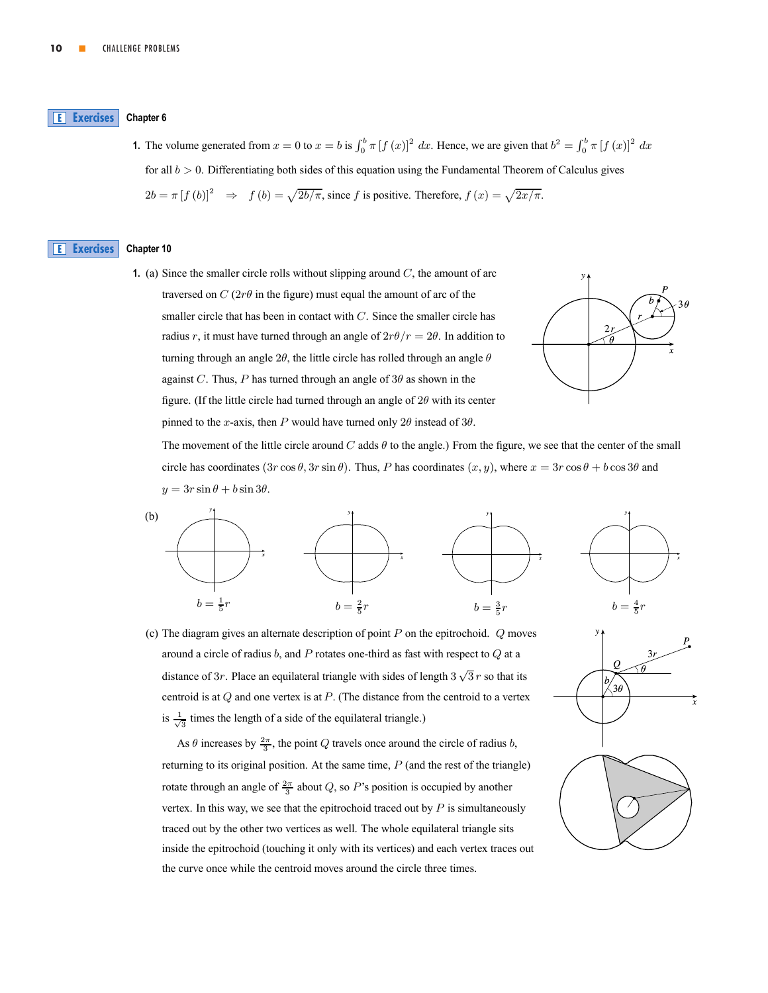#### <span id="page-9-0"></span>**Chapter 6 E [Exercises](#page-1-0)**

**1.** The volume generated from  $x = 0$  to  $x = b$  is  $\int_0^b \pi [f(x)]^2 dx$ . Hence, we are given that  $b^2 = \int_0^b \pi [f(x)]^2 dx$ . for all  $b > 0$ . Differentiating both sides of this equation using the Fundamental Theorem of Calculus gives  $2b = \pi [f (b)]^2$   $\Rightarrow$   $f (b) = \sqrt{2b/\pi}$ , since f is positive. Therefore,  $f (x) = \sqrt{2x/\pi}$ .

#### **Chapter 10 E [Exercises](#page-1-0)**

**1.** (a) Since the smaller circle rolls without slipping around  $C$ , the amount of arc traversed on  $C(2r\theta)$  in the figure) must equal the amount of arc of the smaller circle that has been in contact with  $C$ . Since the smaller circle has radius r, it must have turned through an angle of  $2r\theta/r = 2\theta$ . In addition to turning through an angle  $2\theta$ , the little circle has rolled through an angle  $\theta$ against C. Thus, P has turned through an angle of  $3\theta$  as shown in the figure. (If the little circle had turned through an angle of  $2\theta$  with its center pinned to the x-axis, then P would have turned only  $2\theta$  instead of  $3\theta$ .



The movement of the little circle around C adds  $\theta$  to the angle.) From the figure, we see that the center of the small circle has coordinates  $(3r\cos\theta, 3r\sin\theta)$ . Thus, P has coordinates  $(x, y)$ , where  $x = 3r\cos\theta + b\cos 3\theta$  and  $y = 3r \sin \theta + b \sin 3\theta$ .



(c) The diagram gives an alternate description of point  $P$  on the epitrochoid.  $Q$  moves around a circle of radius  $b$ , and  $P$  rotates one-third as fast with respect to  $Q$  at a distance of 3r. Place an equilateral triangle with sides of length  $3\sqrt{3}r$  so that its centroid is at  $Q$  and one vertex is at  $P$ . (The distance from the centroid to a vertex is  $\frac{1}{\sqrt{3}}$  times the length of a side of the equilateral triangle.)

As  $\theta$  increases by  $\frac{2\pi}{3}$ , the point Q travels once around the circle of radius b, returning to its original position. At the same time,  $P$  (and the rest of the triangle) rotate through an angle of  $\frac{2\pi}{3}$  about Q, so P's position is occupied by another vertex. In this way, we see that the epitrochoid traced out by  $P$  is simultaneously traced out by the other two vertices as well. The whole equilateral triangle sits inside the epitrochoid (touching it only with its vertices) and each vertex traces out the curve once while the centroid moves around the circle three times.